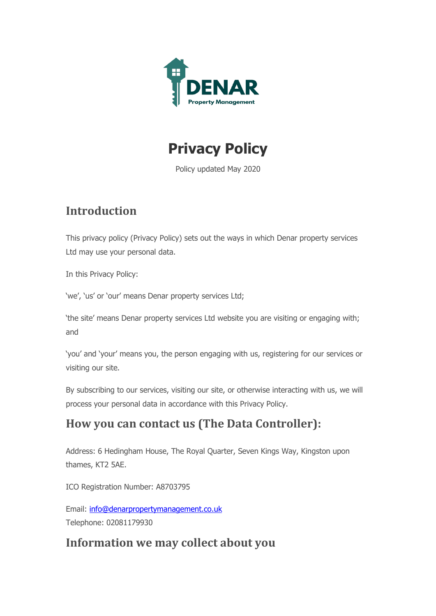



Policy updated May 2020

# **Introduction**

This privacy policy (Privacy Policy) sets out the ways in which Denar property services Ltd may use your personal data.

In this Privacy Policy:

'we', 'us' or 'our' means Denar property services Ltd;

'the site' means Denar property services Ltd website you are visiting or engaging with; and

'you' and 'your' means you, the person engaging with us, registering for our services or visiting our site.

By subscribing to our services, visiting our site, or otherwise interacting with us, we will process your personal data in accordance with this Privacy Policy.

## **How you can contact us (The Data Controller):**

Address: 6 Hedingham House, The Royal Quarter, Seven Kings Way, Kingston upon thames, KT2 5AE.

ICO Registration Number: A8703795

Email: [info@denarpropertymanagement.co.uk](mailto:info@denarpropertymanagement.co.uk) Telephone: 02081179930

## **Information we may collect about you**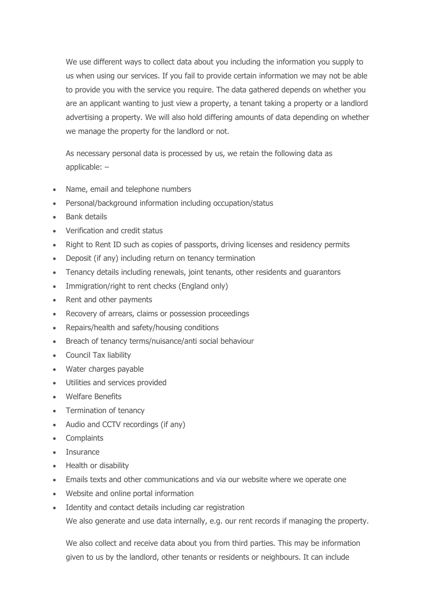We use different ways to collect data about you including the information you supply to us when using our services. If you fail to provide certain information we may not be able to provide you with the service you require. The data gathered depends on whether you are an applicant wanting to just view a property, a tenant taking a property or a landlord advertising a property. We will also hold differing amounts of data depending on whether we manage the property for the landlord or not.

As necessary personal data is processed by us, we retain the following data as applicable: –

- Name, email and telephone numbers
- Personal/background information including occupation/status
- Bank details
- Verification and credit status
- Right to Rent ID such as copies of passports, driving licenses and residency permits
- Deposit (if any) including return on tenancy termination
- Tenancy details including renewals, joint tenants, other residents and guarantors
- Immigration/right to rent checks (England only)
- Rent and other payments
- Recovery of arrears, claims or possession proceedings
- Repairs/health and safety/housing conditions
- Breach of tenancy terms/nuisance/anti social behaviour
- Council Tax liability
- Water charges payable
- Utilities and services provided
- Welfare Benefits
- Termination of tenancy
- Audio and CCTV recordings (if any)
- Complaints
- Insurance
- Health or disability
- Emails texts and other communications and via our website where we operate one
- Website and online portal information
- Identity and contact details including car registration

We also generate and use data internally, e.g. our rent records if managing the property.

We also collect and receive data about you from third parties. This may be information given to us by the landlord, other tenants or residents or neighbours. It can include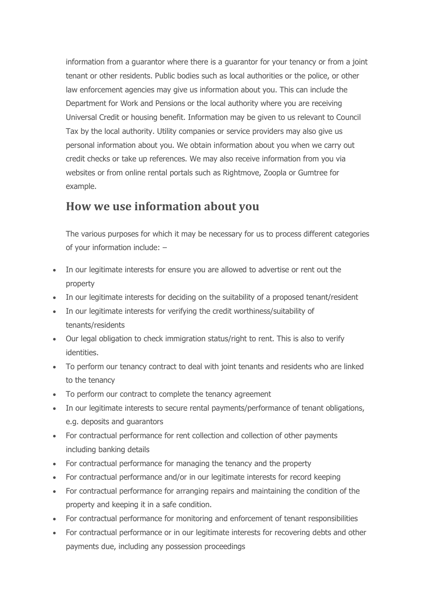information from a guarantor where there is a guarantor for your tenancy or from a joint tenant or other residents. Public bodies such as local authorities or the police, or other law enforcement agencies may give us information about you. This can include the Department for Work and Pensions or the local authority where you are receiving Universal Credit or housing benefit. Information may be given to us relevant to Council Tax by the local authority. Utility companies or service providers may also give us personal information about you. We obtain information about you when we carry out credit checks or take up references. We may also receive information from you via websites or from online rental portals such as Rightmove, Zoopla or Gumtree for example.

### **How we use information about you**

The various purposes for which it may be necessary for us to process different categories of your information include: –

- In our legitimate interests for ensure you are allowed to advertise or rent out the property
- In our legitimate interests for deciding on the suitability of a proposed tenant/resident
- In our legitimate interests for verifying the credit worthiness/suitability of tenants/residents
- Our legal obligation to check immigration status/right to rent. This is also to verify identities.
- To perform our tenancy contract to deal with joint tenants and residents who are linked to the tenancy
- To perform our contract to complete the tenancy agreement
- In our legitimate interests to secure rental payments/performance of tenant obligations, e.g. deposits and guarantors
- For contractual performance for rent collection and collection of other payments including banking details
- For contractual performance for managing the tenancy and the property
- For contractual performance and/or in our legitimate interests for record keeping
- For contractual performance for arranging repairs and maintaining the condition of the property and keeping it in a safe condition.
- For contractual performance for monitoring and enforcement of tenant responsibilities
- For contractual performance or in our legitimate interests for recovering debts and other payments due, including any possession proceedings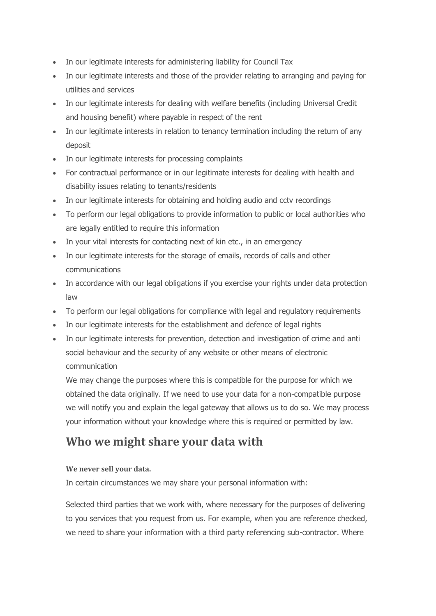- In our legitimate interests for administering liability for Council Tax
- In our legitimate interests and those of the provider relating to arranging and paying for utilities and services
- In our legitimate interests for dealing with welfare benefits (including Universal Credit and housing benefit) where payable in respect of the rent
- In our legitimate interests in relation to tenancy termination including the return of any deposit
- In our legitimate interests for processing complaints
- For contractual performance or in our legitimate interests for dealing with health and disability issues relating to tenants/residents
- In our legitimate interests for obtaining and holding audio and cctv recordings
- To perform our legal obligations to provide information to public or local authorities who are legally entitled to require this information
- In your vital interests for contacting next of kin etc., in an emergency
- In our legitimate interests for the storage of emails, records of calls and other communications
- In accordance with our legal obligations if you exercise your rights under data protection law
- To perform our legal obligations for compliance with legal and regulatory requirements
- In our legitimate interests for the establishment and defence of legal rights
- In our legitimate interests for prevention, detection and investigation of crime and anti social behaviour and the security of any website or other means of electronic communication

We may change the purposes where this is compatible for the purpose for which we obtained the data originally. If we need to use your data for a non-compatible purpose we will notify you and explain the legal gateway that allows us to do so. We may process your information without your knowledge where this is required or permitted by law.

# **Who we might share your data with**

### **We never sell your data.**

In certain circumstances we may share your personal information with:

Selected third parties that we work with, where necessary for the purposes of delivering to you services that you request from us. For example, when you are reference checked, we need to share your information with a third party referencing sub-contractor. Where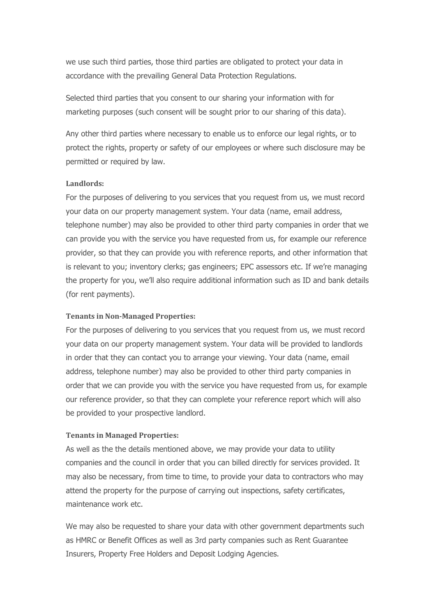we use such third parties, those third parties are obligated to protect your data in accordance with the prevailing General Data Protection Regulations.

Selected third parties that you consent to our sharing your information with for marketing purposes (such consent will be sought prior to our sharing of this data).

Any other third parties where necessary to enable us to enforce our legal rights, or to protect the rights, property or safety of our employees or where such disclosure may be permitted or required by law.

#### **Landlords:**

For the purposes of delivering to you services that you request from us, we must record your data on our property management system. Your data (name, email address, telephone number) may also be provided to other third party companies in order that we can provide you with the service you have requested from us, for example our reference provider, so that they can provide you with reference reports, and other information that is relevant to you; inventory clerks; gas engineers; EPC assessors etc. If we're managing the property for you, we'll also require additional information such as ID and bank details (for rent payments).

#### **Tenants in Non-Managed Properties:**

For the purposes of delivering to you services that you request from us, we must record your data on our property management system. Your data will be provided to landlords in order that they can contact you to arrange your viewing. Your data (name, email address, telephone number) may also be provided to other third party companies in order that we can provide you with the service you have requested from us, for example our reference provider, so that they can complete your reference report which will also be provided to your prospective landlord.

#### **Tenants in Managed Properties:**

As well as the the details mentioned above, we may provide your data to utility companies and the council in order that you can billed directly for services provided. It may also be necessary, from time to time, to provide your data to contractors who may attend the property for the purpose of carrying out inspections, safety certificates, maintenance work etc.

We may also be requested to share your data with other government departments such as HMRC or Benefit Offices as well as 3rd party companies such as Rent Guarantee Insurers, Property Free Holders and Deposit Lodging Agencies.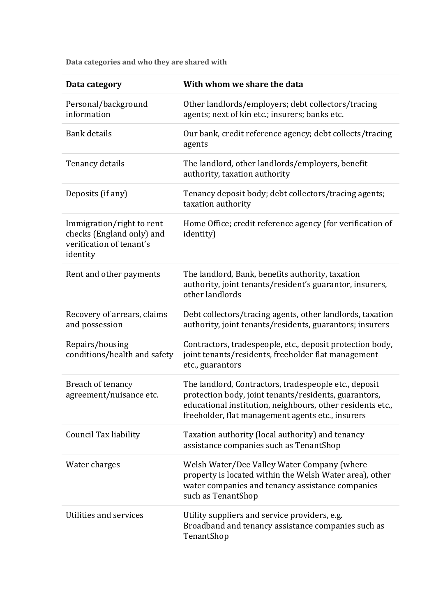**Data categories and who they are shared with**

| Data category                                                                                  | With whom we share the data                                                                                                                                                                                                       |
|------------------------------------------------------------------------------------------------|-----------------------------------------------------------------------------------------------------------------------------------------------------------------------------------------------------------------------------------|
| Personal/background<br>information                                                             | Other landlords/employers; debt collectors/tracing<br>agents; next of kin etc.; insurers; banks etc.                                                                                                                              |
| <b>Bank</b> details                                                                            | Our bank, credit reference agency; debt collects/tracing<br>agents                                                                                                                                                                |
| Tenancy details                                                                                | The landlord, other landlords/employers, benefit<br>authority, taxation authority                                                                                                                                                 |
| Deposits (if any)                                                                              | Tenancy deposit body; debt collectors/tracing agents;<br>taxation authority                                                                                                                                                       |
| Immigration/right to rent<br>checks (England only) and<br>verification of tenant's<br>identity | Home Office; credit reference agency (for verification of<br>identity)                                                                                                                                                            |
| Rent and other payments                                                                        | The landlord, Bank, benefits authority, taxation<br>authority, joint tenants/resident's guarantor, insurers,<br>other landlords                                                                                                   |
| Recovery of arrears, claims<br>and possession                                                  | Debt collectors/tracing agents, other landlords, taxation<br>authority, joint tenants/residents, guarantors; insurers                                                                                                             |
| Repairs/housing<br>conditions/health and safety                                                | Contractors, tradespeople, etc., deposit protection body,<br>joint tenants/residents, freeholder flat management<br>etc., guarantors                                                                                              |
| Breach of tenancy<br>agreement/nuisance etc.                                                   | The landlord, Contractors, tradespeople etc., deposit<br>protection body, joint tenants/residents, guarantors,<br>educational institution, neighbours, other residents etc.,<br>freeholder, flat management agents etc., insurers |
| <b>Council Tax liability</b>                                                                   | Taxation authority (local authority) and tenancy<br>assistance companies such as TenantShop                                                                                                                                       |
| Water charges                                                                                  | Welsh Water/Dee Valley Water Company (where<br>property is located within the Welsh Water area), other<br>water companies and tenancy assistance companies<br>such as TenantShop                                                  |
| Utilities and services                                                                         | Utility suppliers and service providers, e.g.<br>Broadband and tenancy assistance companies such as<br>TenantShop                                                                                                                 |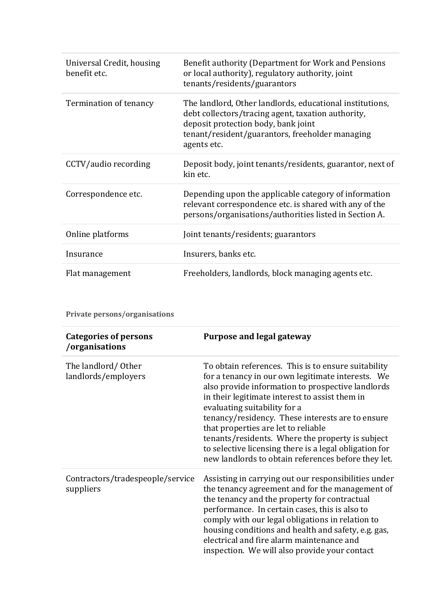| Universal Credit, housing<br>benefit etc. | Benefit authority (Department for Work and Pensions<br>or local authority), regulatory authority, joint<br>tenants/residents/guarantors                                                                                 |
|-------------------------------------------|-------------------------------------------------------------------------------------------------------------------------------------------------------------------------------------------------------------------------|
| Termination of tenancy                    | The landlord, Other landlords, educational institutions,<br>debt collectors/tracing agent, taxation authority,<br>deposit protection body, bank joint<br>tenant/resident/guarantors, freeholder managing<br>agents etc. |
| CCTV/audio recording                      | Deposit body, joint tenants/residents, guarantor, next of<br>kin etc.                                                                                                                                                   |
| Correspondence etc.                       | Depending upon the applicable category of information<br>relevant correspondence etc. is shared with any of the<br>persons/organisations/authorities listed in Section A.                                               |
| Online platforms                          | Joint tenants/residents; guarantors                                                                                                                                                                                     |
| Insurance                                 | Insurers, banks etc.                                                                                                                                                                                                    |
| Flat management                           | Freeholders, landlords, block managing agents etc.                                                                                                                                                                      |

**Private persons/organisations**

| <b>Categories of persons</b><br>/organisations | <b>Purpose and legal gateway</b>                                                                                                                                                                                                                                                                                                                                                                                                                                                                                |
|------------------------------------------------|-----------------------------------------------------------------------------------------------------------------------------------------------------------------------------------------------------------------------------------------------------------------------------------------------------------------------------------------------------------------------------------------------------------------------------------------------------------------------------------------------------------------|
| The landlord/Other<br>landlords/employers      | To obtain references. This is to ensure suitability<br>for a tenancy in our own legitimate interests. We<br>also provide information to prospective landlords<br>in their legitimate interest to assist them in<br>evaluating suitability for a<br>tenancy/residency. These interests are to ensure<br>that properties are let to reliable<br>tenants/residents. Where the property is subject<br>to selective licensing there is a legal obligation for<br>new landlords to obtain references before they let. |
| Contractors/tradespeople/service<br>suppliers  | Assisting in carrying out our responsibilities under<br>the tenancy agreement and for the management of<br>the tenancy and the property for contractual<br>performance. In certain cases, this is also to<br>comply with our legal obligations in relation to<br>housing conditions and health and safety, e.g. gas,<br>electrical and fire alarm maintenance and<br>inspection. We will also provide your contact                                                                                              |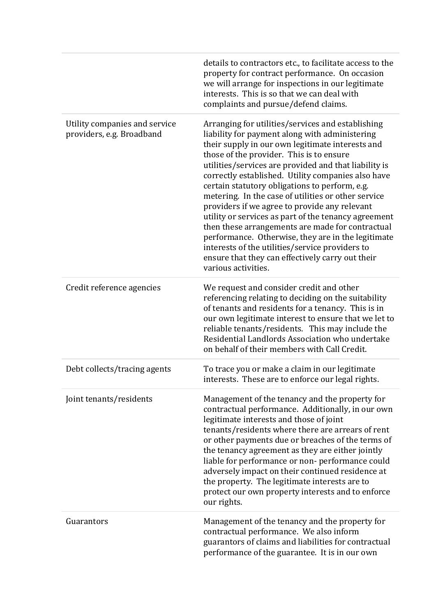|                                                            | details to contractors etc., to facilitate access to the<br>property for contract performance. On occasion<br>we will arrange for inspections in our legitimate<br>interests. This is so that we can deal with<br>complaints and pursue/defend claims.                                                                                                                                                                                                                                                                                                                                                                                                                                                                                                                       |
|------------------------------------------------------------|------------------------------------------------------------------------------------------------------------------------------------------------------------------------------------------------------------------------------------------------------------------------------------------------------------------------------------------------------------------------------------------------------------------------------------------------------------------------------------------------------------------------------------------------------------------------------------------------------------------------------------------------------------------------------------------------------------------------------------------------------------------------------|
| Utility companies and service<br>providers, e.g. Broadband | Arranging for utilities/services and establishing<br>liability for payment along with administering<br>their supply in our own legitimate interests and<br>those of the provider. This is to ensure<br>utilities/services are provided and that liability is<br>correctly established. Utility companies also have<br>certain statutory obligations to perform, e.g.<br>metering. In the case of utilities or other service<br>providers if we agree to provide any relevant<br>utility or services as part of the tenancy agreement<br>then these arrangements are made for contractual<br>performance. Otherwise, they are in the legitimate<br>interests of the utilities/service providers to<br>ensure that they can effectively carry out their<br>various activities. |
| Credit reference agencies                                  | We request and consider credit and other<br>referencing relating to deciding on the suitability<br>of tenants and residents for a tenancy. This is in<br>our own legitimate interest to ensure that we let to<br>reliable tenants/residents. This may include the<br>Residential Landlords Association who undertake<br>on behalf of their members with Call Credit.                                                                                                                                                                                                                                                                                                                                                                                                         |
| Debt collects/tracing agents                               | To trace you or make a claim in our legitimate<br>interests. These are to enforce our legal rights.                                                                                                                                                                                                                                                                                                                                                                                                                                                                                                                                                                                                                                                                          |
| Joint tenants/residents                                    | Management of the tenancy and the property for<br>contractual performance. Additionally, in our own<br>legitimate interests and those of joint<br>tenants/residents where there are arrears of rent<br>or other payments due or breaches of the terms of<br>the tenancy agreement as they are either jointly<br>liable for performance or non-performance could<br>adversely impact on their continued residence at<br>the property. The legitimate interests are to<br>protect our own property interests and to enforce<br>our rights.                                                                                                                                                                                                                                     |
| Guarantors                                                 | Management of the tenancy and the property for<br>contractual performance. We also inform<br>guarantors of claims and liabilities for contractual<br>performance of the guarantee. It is in our own                                                                                                                                                                                                                                                                                                                                                                                                                                                                                                                                                                          |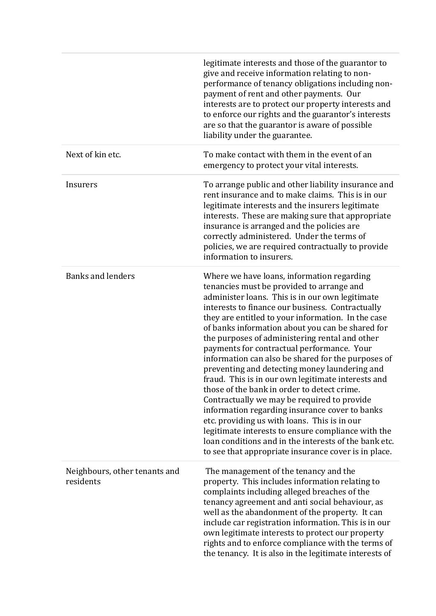|                                            | legitimate interests and those of the guarantor to<br>give and receive information relating to non-<br>performance of tenancy obligations including non-<br>payment of rent and other payments. Our<br>interests are to protect our property interests and<br>to enforce our rights and the guarantor's interests<br>are so that the guarantor is aware of possible<br>liability under the guarantee.                                                                                                                                                                                                                                                                                                                                                                                                                                                                                                                                        |
|--------------------------------------------|----------------------------------------------------------------------------------------------------------------------------------------------------------------------------------------------------------------------------------------------------------------------------------------------------------------------------------------------------------------------------------------------------------------------------------------------------------------------------------------------------------------------------------------------------------------------------------------------------------------------------------------------------------------------------------------------------------------------------------------------------------------------------------------------------------------------------------------------------------------------------------------------------------------------------------------------|
| Next of kin etc.                           | To make contact with them in the event of an<br>emergency to protect your vital interests.                                                                                                                                                                                                                                                                                                                                                                                                                                                                                                                                                                                                                                                                                                                                                                                                                                                   |
| Insurers                                   | To arrange public and other liability insurance and<br>rent insurance and to make claims. This is in our<br>legitimate interests and the insurers legitimate<br>interests. These are making sure that appropriate<br>insurance is arranged and the policies are<br>correctly administered. Under the terms of<br>policies, we are required contractually to provide<br>information to insurers.                                                                                                                                                                                                                                                                                                                                                                                                                                                                                                                                              |
| <b>Banks and lenders</b>                   | Where we have loans, information regarding<br>tenancies must be provided to arrange and<br>administer loans. This is in our own legitimate<br>interests to finance our business. Contractually<br>they are entitled to your information. In the case<br>of banks information about you can be shared for<br>the purposes of administering rental and other<br>payments for contractual performance. Your<br>information can also be shared for the purposes of<br>preventing and detecting money laundering and<br>fraud. This is in our own legitimate interests and<br>those of the bank in order to detect crime.<br>Contractually we may be required to provide<br>information regarding insurance cover to banks<br>etc. providing us with loans. This is in our<br>legitimate interests to ensure compliance with the<br>loan conditions and in the interests of the bank etc.<br>to see that appropriate insurance cover is in place. |
| Neighbours, other tenants and<br>residents | The management of the tenancy and the<br>property. This includes information relating to<br>complaints including alleged breaches of the<br>tenancy agreement and anti social behaviour, as<br>well as the abandonment of the property. It can<br>include car registration information. This is in our<br>own legitimate interests to protect our property<br>rights and to enforce compliance with the terms of<br>the tenancy. It is also in the legitimate interests of                                                                                                                                                                                                                                                                                                                                                                                                                                                                   |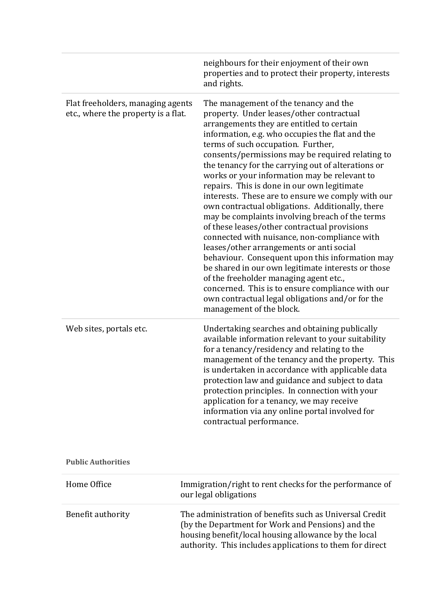| neighbours for their enjoyment of their own<br>and rights.<br>Flat freeholders, managing agents<br>The management of the tenancy and the<br>property. Under leases/other contractual<br>etc., where the property is a flat.<br>arrangements they are entitled to certain<br>information, e.g. who occupies the flat and the<br>terms of such occupation. Further,<br>the tenancy for the carrying out of alterations or<br>works or your information may be relevant to<br>repairs. This is done in our own legitimate<br>own contractual obligations. Additionally, there<br>of these leases/other contractual provisions<br>connected with nuisance, non-compliance with<br>leases/other arrangements or anti social<br>of the freeholder managing agent etc.,<br>own contractual legal obligations and/or for the<br>management of the block.<br>Undertaking searches and obtaining publically<br>Web sites, portals etc.<br>for a tenancy/residency and relating to the<br>protection law and guidance and subject to data<br>protection principles. In connection with your<br>application for a tenancy, we may receive<br>information via any online portal involved for<br>contractual performance.<br><b>Public Authorities</b> |                                                                                                                                                                                                                                                                                                                       |
|------------------------------------------------------------------------------------------------------------------------------------------------------------------------------------------------------------------------------------------------------------------------------------------------------------------------------------------------------------------------------------------------------------------------------------------------------------------------------------------------------------------------------------------------------------------------------------------------------------------------------------------------------------------------------------------------------------------------------------------------------------------------------------------------------------------------------------------------------------------------------------------------------------------------------------------------------------------------------------------------------------------------------------------------------------------------------------------------------------------------------------------------------------------------------------------------------------------------------------------|-----------------------------------------------------------------------------------------------------------------------------------------------------------------------------------------------------------------------------------------------------------------------------------------------------------------------|
|                                                                                                                                                                                                                                                                                                                                                                                                                                                                                                                                                                                                                                                                                                                                                                                                                                                                                                                                                                                                                                                                                                                                                                                                                                          | properties and to protect their property, interests                                                                                                                                                                                                                                                                   |
|                                                                                                                                                                                                                                                                                                                                                                                                                                                                                                                                                                                                                                                                                                                                                                                                                                                                                                                                                                                                                                                                                                                                                                                                                                          | consents/permissions may be required relating to<br>interests. These are to ensure we comply with our<br>may be complaints involving breach of the terms<br>behaviour. Consequent upon this information may<br>be shared in our own legitimate interests or those<br>concerned. This is to ensure compliance with our |
|                                                                                                                                                                                                                                                                                                                                                                                                                                                                                                                                                                                                                                                                                                                                                                                                                                                                                                                                                                                                                                                                                                                                                                                                                                          | available information relevant to your suitability<br>management of the tenancy and the property. This<br>is undertaken in accordance with applicable data                                                                                                                                                            |
|                                                                                                                                                                                                                                                                                                                                                                                                                                                                                                                                                                                                                                                                                                                                                                                                                                                                                                                                                                                                                                                                                                                                                                                                                                          |                                                                                                                                                                                                                                                                                                                       |

| Home Office       | Immigration/right to rent checks for the performance of<br>our legal obligations                                                                                                                                                 |  |
|-------------------|----------------------------------------------------------------------------------------------------------------------------------------------------------------------------------------------------------------------------------|--|
| Benefit authority | The administration of benefits such as Universal Credit<br>(by the Department for Work and Pensions) and the<br>housing benefit/local housing allowance by the local<br>authority. This includes applications to them for direct |  |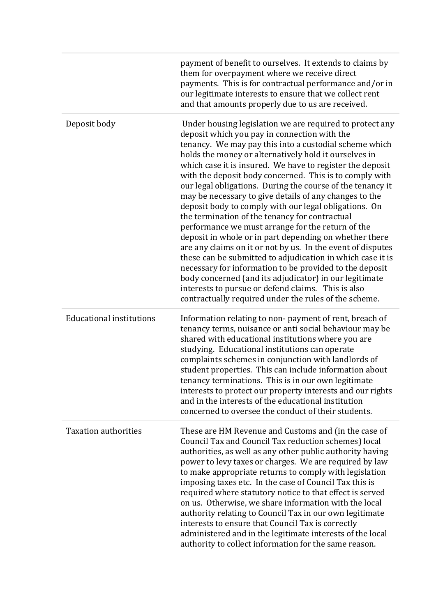|                                 | payment of benefit to ourselves. It extends to claims by<br>them for overpayment where we receive direct<br>payments. This is for contractual performance and/or in<br>our legitimate interests to ensure that we collect rent<br>and that amounts properly due to us are received.                                                                                                                                                                                                                                                                                                                                                                                                                                                                                                                                                                                                                                                                                                                                                                                    |
|---------------------------------|------------------------------------------------------------------------------------------------------------------------------------------------------------------------------------------------------------------------------------------------------------------------------------------------------------------------------------------------------------------------------------------------------------------------------------------------------------------------------------------------------------------------------------------------------------------------------------------------------------------------------------------------------------------------------------------------------------------------------------------------------------------------------------------------------------------------------------------------------------------------------------------------------------------------------------------------------------------------------------------------------------------------------------------------------------------------|
| Deposit body                    | Under housing legislation we are required to protect any<br>deposit which you pay in connection with the<br>tenancy. We may pay this into a custodial scheme which<br>holds the money or alternatively hold it ourselves in<br>which case it is insured. We have to register the deposit<br>with the deposit body concerned. This is to comply with<br>our legal obligations. During the course of the tenancy it<br>may be necessary to give details of any changes to the<br>deposit body to comply with our legal obligations. On<br>the termination of the tenancy for contractual<br>performance we must arrange for the return of the<br>deposit in whole or in part depending on whether there<br>are any claims on it or not by us. In the event of disputes<br>these can be submitted to adjudication in which case it is<br>necessary for information to be provided to the deposit<br>body concerned (and its adjudicator) in our legitimate<br>interests to pursue or defend claims. This is also<br>contractually required under the rules of the scheme. |
| <b>Educational institutions</b> | Information relating to non-payment of rent, breach of<br>tenancy terms, nuisance or anti social behaviour may be<br>shared with educational institutions where you are<br>studying. Educational institutions can operate<br>complaints schemes in conjunction with landlords of<br>student properties. This can include information about<br>tenancy terminations. This is in our own legitimate<br>interests to protect our property interests and our rights<br>and in the interests of the educational institution<br>concerned to oversee the conduct of their students.                                                                                                                                                                                                                                                                                                                                                                                                                                                                                          |
| <b>Taxation authorities</b>     | These are HM Revenue and Customs and (in the case of<br>Council Tax and Council Tax reduction schemes) local<br>authorities, as well as any other public authority having<br>power to levy taxes or charges. We are required by law<br>to make appropriate returns to comply with legislation<br>imposing taxes etc. In the case of Council Tax this is<br>required where statutory notice to that effect is served<br>on us. Otherwise, we share information with the local<br>authority relating to Council Tax in our own legitimate<br>interests to ensure that Council Tax is correctly<br>administered and in the legitimate interests of the local<br>authority to collect information for the same reason.                                                                                                                                                                                                                                                                                                                                                     |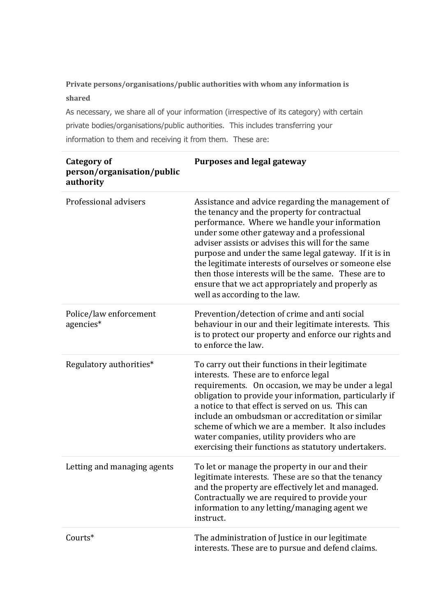### **Private persons/organisations/public authorities with whom any information is shared**

As necessary, we share all of your information (irrespective of its category) with certain private bodies/organisations/public authorities. This includes transferring your information to them and receiving it from them. These are:

| <b>Category of</b><br>person/organisation/public<br>authority | <b>Purposes and legal gateway</b>                                                                                                                                                                                                                                                                                                                                                                                                                                                                                    |
|---------------------------------------------------------------|----------------------------------------------------------------------------------------------------------------------------------------------------------------------------------------------------------------------------------------------------------------------------------------------------------------------------------------------------------------------------------------------------------------------------------------------------------------------------------------------------------------------|
| Professional advisers                                         | Assistance and advice regarding the management of<br>the tenancy and the property for contractual<br>performance. Where we handle your information<br>under some other gateway and a professional<br>adviser assists or advises this will for the same<br>purpose and under the same legal gateway. If it is in<br>the legitimate interests of ourselves or someone else<br>then those interests will be the same. These are to<br>ensure that we act appropriately and properly as<br>well as according to the law. |
| Police/law enforcement<br>agencies*                           | Prevention/detection of crime and anti social<br>behaviour in our and their legitimate interests. This<br>is to protect our property and enforce our rights and<br>to enforce the law.                                                                                                                                                                                                                                                                                                                               |
| Regulatory authorities*                                       | To carry out their functions in their legitimate<br>interests. These are to enforce legal<br>requirements. On occasion, we may be under a legal<br>obligation to provide your information, particularly if<br>a notice to that effect is served on us. This can<br>include an ombudsman or accreditation or similar<br>scheme of which we are a member. It also includes<br>water companies, utility providers who are<br>exercising their functions as statutory undertakers.                                       |
| Letting and managing agents                                   | To let or manage the property in our and their<br>legitimate interests. These are so that the tenancy<br>and the property are effectively let and managed.<br>Contractually we are required to provide your<br>information to any letting/managing agent we<br>instruct.                                                                                                                                                                                                                                             |
| Courts*                                                       | The administration of Justice in our legitimate<br>interests. These are to pursue and defend claims.                                                                                                                                                                                                                                                                                                                                                                                                                 |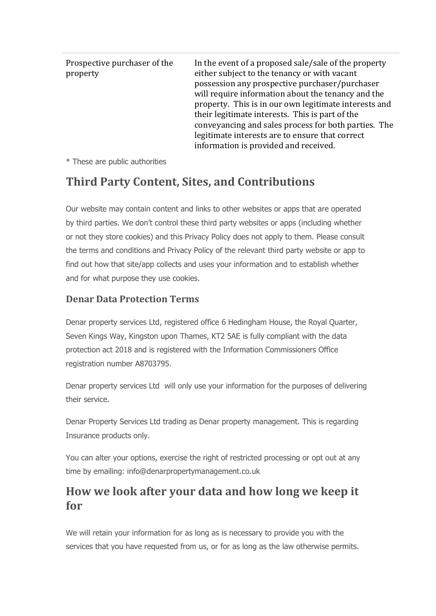| Prospective purchaser of the<br>property | In the event of a proposed sale/sale of the property<br>either subject to the tenancy or with vacant<br>possession any prospective purchaser/purchaser<br>will require information about the tenancy and the<br>property. This is in our own legitimate interests and<br>their legitimate interests. This is part of the<br>conveyancing and sales process for both parties. The<br>legitimate interests are to ensure that correct<br>information is provided and received. |
|------------------------------------------|------------------------------------------------------------------------------------------------------------------------------------------------------------------------------------------------------------------------------------------------------------------------------------------------------------------------------------------------------------------------------------------------------------------------------------------------------------------------------|
|------------------------------------------|------------------------------------------------------------------------------------------------------------------------------------------------------------------------------------------------------------------------------------------------------------------------------------------------------------------------------------------------------------------------------------------------------------------------------------------------------------------------------|

\* These are public authorities

# **Third Party Content, Sites, and Contributions**

Our website may contain content and links to other websites or apps that are operated by third parties. We don't control these third party websites or apps (including whether or not they store cookies) and this Privacy Policy does not apply to them. Please consult the terms and conditions and Privacy Policy of the relevant third party website or app to find out how that site/app collects and uses your information and to establish whether and for what purpose they use cookies.

### **Denar Data Protection Terms**

Denar property services Ltd, registered office 6 Hedingham House, the Royal Quarter, Seven Kings Way, Kingston upon Thames, KT2 5AE is fully compliant with the data protection act 2018 and is registered with the Information Commissioners Office registration number A8703795.

Denar property services Ltd will only use your information for the purposes of delivering their service.

Denar Property Services Ltd trading as Denar property management. This is regarding Insurance products only.

You can alter your options, exercise the right of restricted processing or opt out at any time by emailing: info@denarpropertymanagement.co.uk

## **How we look after your data and how long we keep it for**

We will retain your information for as long as is necessary to provide you with the services that you have requested from us, or for as long as the law otherwise permits.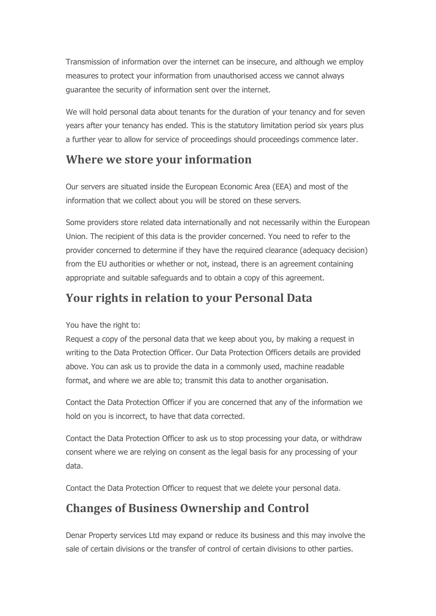Transmission of information over the internet can be insecure, and although we employ measures to protect your information from unauthorised access we cannot always guarantee the security of information sent over the internet.

We will hold personal data about tenants for the duration of your tenancy and for seven years after your tenancy has ended. This is the statutory limitation period six years plus a further year to allow for service of proceedings should proceedings commence later.

### **Where we store your information**

Our servers are situated inside the European Economic Area (EEA) and most of the information that we collect about you will be stored on these servers.

Some providers store related data internationally and not necessarily within the European Union. The recipient of this data is the provider concerned. You need to refer to the provider concerned to determine if they have the required clearance (adequacy decision) from the EU authorities or whether or not, instead, there is an agreement containing appropriate and suitable safeguards and to obtain a copy of this agreement.

# **Your rights in relation to your Personal Data**

You have the right to:

Request a copy of the personal data that we keep about you, by making a request in writing to the Data Protection Officer. Our Data Protection Officers details are provided above. You can ask us to provide the data in a commonly used, machine readable format, and where we are able to; transmit this data to another organisation.

Contact the Data Protection Officer if you are concerned that any of the information we hold on you is incorrect, to have that data corrected.

Contact the Data Protection Officer to ask us to stop processing your data, or withdraw consent where we are relying on consent as the legal basis for any processing of your data.

Contact the Data Protection Officer to request that we delete your personal data.

# **Changes of Business Ownership and Control**

Denar Property services Ltd may expand or reduce its business and this may involve the sale of certain divisions or the transfer of control of certain divisions to other parties.